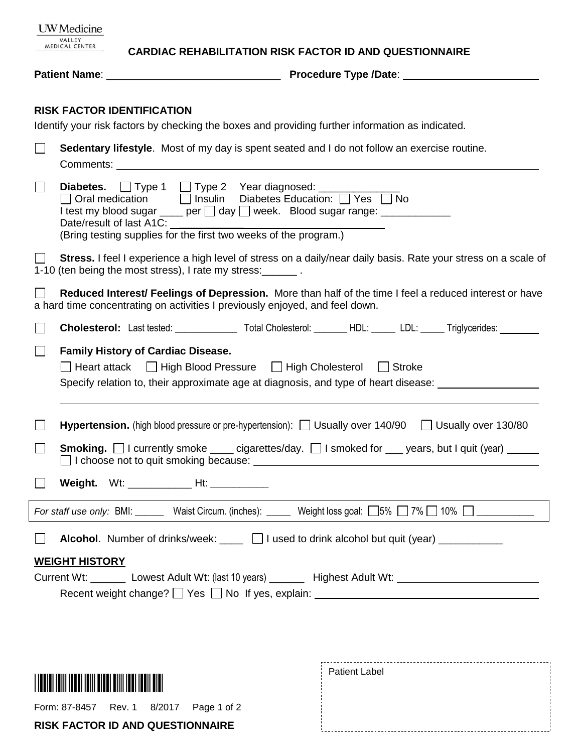| <b>UW</b> Medicine<br>VALLEY<br><b>MEDICAL CENTER</b>                                                                                                                                  |                                                                                                                                                                                                                                              | <b>CARDIAC REHABILITATION RISK FACTOR ID AND QUESTIONNAIRE</b>                                                              |  |  |  |  |  |
|----------------------------------------------------------------------------------------------------------------------------------------------------------------------------------------|----------------------------------------------------------------------------------------------------------------------------------------------------------------------------------------------------------------------------------------------|-----------------------------------------------------------------------------------------------------------------------------|--|--|--|--|--|
|                                                                                                                                                                                        |                                                                                                                                                                                                                                              |                                                                                                                             |  |  |  |  |  |
|                                                                                                                                                                                        | <b>RISK FACTOR IDENTIFICATION</b><br>Identify your risk factors by checking the boxes and providing further information as indicated.                                                                                                        |                                                                                                                             |  |  |  |  |  |
|                                                                                                                                                                                        | Sedentary lifestyle. Most of my day is spent seated and I do not follow an exercise routine.                                                                                                                                                 |                                                                                                                             |  |  |  |  |  |
|                                                                                                                                                                                        | <b>Diabetes.</b> □ Type 1 □ Type 2 Year diagnosed: ________<br>I test my blood sugar ____ per □ day □ week. Blood sugar range: _____________<br>Date/result of last A1C:<br>(Bring testing supplies for the first two weeks of the program.) |                                                                                                                             |  |  |  |  |  |
|                                                                                                                                                                                        | Stress. I feel I experience a high level of stress on a daily/near daily basis. Rate your stress on a scale of<br>1-10 (ten being the most stress), I rate my stress:                                                                        |                                                                                                                             |  |  |  |  |  |
| Reduced Interest/ Feelings of Depression. More than half of the time I feel a reduced interest or have<br>a hard time concentrating on activities I previously enjoyed, and feel down. |                                                                                                                                                                                                                                              |                                                                                                                             |  |  |  |  |  |
|                                                                                                                                                                                        |                                                                                                                                                                                                                                              | <b>Cholesterol:</b> Last tested: ___________________Total Cholesterol: ________HDL: ______LDL: ______Triglycerides: _______ |  |  |  |  |  |
|                                                                                                                                                                                        | <b>Family History of Cardiac Disease.</b><br>Heart attack   High Blood Pressure   High Cholesterol   Stroke<br>Specify relation to, their approximate age at diagnosis, and type of heart disease: _______________                           |                                                                                                                             |  |  |  |  |  |
|                                                                                                                                                                                        |                                                                                                                                                                                                                                              | <b>Hypertension.</b> (high blood pressure or pre-hypertension): $\Box$ Usually over 140/90 $\Box$ Usually over 130/80       |  |  |  |  |  |
|                                                                                                                                                                                        | <b>Smoking.</b> I currently smoke ____ cigarettes/day. I smoked for ___ years, but I quit (year) _____<br>□ I choose not to quit smoking because:<br>□ I choose not to quit smoking because:                                                 |                                                                                                                             |  |  |  |  |  |
| $\mathbf{I}$                                                                                                                                                                           |                                                                                                                                                                                                                                              |                                                                                                                             |  |  |  |  |  |
|                                                                                                                                                                                        | For staff use only: BMI: Waist Circum. (inches): Weight loss goal: [5% ] 7% [ 10% ]                                                                                                                                                          |                                                                                                                             |  |  |  |  |  |
| Alcohol. Number of drinks/week: ____ 1 used to drink alcohol but quit (year) _________<br>$\Box$                                                                                       |                                                                                                                                                                                                                                              |                                                                                                                             |  |  |  |  |  |
| <b>WEIGHT HISTORY</b><br>Current Wt: __________ Lowest Adult Wt: (last 10 years) _________ Highest Adult Wt: __________________________                                                |                                                                                                                                                                                                                                              |                                                                                                                             |  |  |  |  |  |

|                                         | <b>Patient Label</b> |
|-----------------------------------------|----------------------|
| Form: 87-8457 Rev. 1 8/2017 Page 1 of 2 |                      |
| <b>RISK FACTOR ID AND QUESTIONNAIRE</b> |                      |